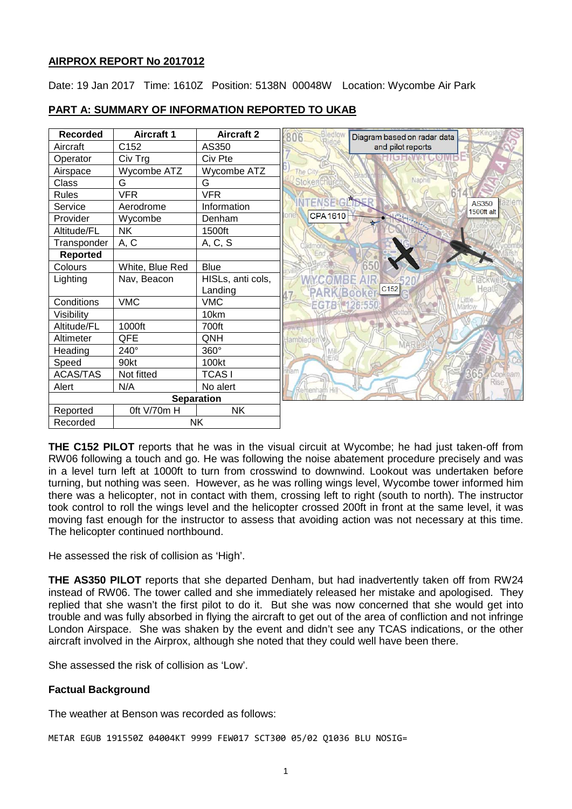## **AIRPROX REPORT No 2017012**

Date: 19 Jan 2017 Time: 1610Z Position: 5138N 00048W Location: Wycombe Air Park



## **PART A: SUMMARY OF INFORMATION REPORTED TO UKAB**

**THE C152 PILOT** reports that he was in the visual circuit at Wycombe; he had just taken-off from RW06 following a touch and go. He was following the noise abatement procedure precisely and was in a level turn left at 1000ft to turn from crosswind to downwind. Lookout was undertaken before turning, but nothing was seen. However, as he was rolling wings level, Wycombe tower informed him there was a helicopter, not in contact with them, crossing left to right (south to north). The instructor took control to roll the wings level and the helicopter crossed 200ft in front at the same level, it was moving fast enough for the instructor to assess that avoiding action was not necessary at this time. The helicopter continued northbound.

He assessed the risk of collision as 'High'.

**THE AS350 PILOT** reports that she departed Denham, but had inadvertently taken off from RW24 instead of RW06. The tower called and she immediately released her mistake and apologised. They replied that she wasn't the first pilot to do it. But she was now concerned that she would get into trouble and was fully absorbed in flying the aircraft to get out of the area of confliction and not infringe London Airspace. She was shaken by the event and didn't see any TCAS indications, or the other aircraft involved in the Airprox, although she noted that they could well have been there.

She assessed the risk of collision as 'Low'.

## **Factual Background**

The weather at Benson was recorded as follows:

METAR EGUB 191550Z 04004KT 9999 FEW017 SCT300 05/02 Q1036 BLU NOSIG=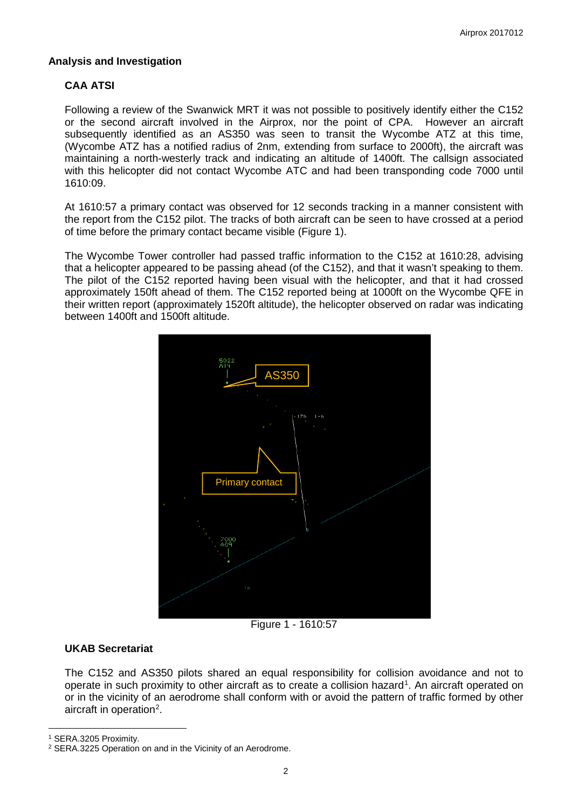### **Analysis and Investigation**

# **CAA ATSI**

Following a review of the Swanwick MRT it was not possible to positively identify either the C152 or the second aircraft involved in the Airprox, nor the point of CPA. However an aircraft subsequently identified as an AS350 was seen to transit the Wycombe ATZ at this time, (Wycombe ATZ has a notified radius of 2nm, extending from surface to 2000ft), the aircraft was maintaining a north-westerly track and indicating an altitude of 1400ft. The callsign associated with this helicopter did not contact Wycombe ATC and had been transponding code 7000 until 1610:09.

At 1610:57 a primary contact was observed for 12 seconds tracking in a manner consistent with the report from the C152 pilot. The tracks of both aircraft can be seen to have crossed at a period of time before the primary contact became visible (Figure 1).

The Wycombe Tower controller had passed traffic information to the C152 at 1610:28, advising that a helicopter appeared to be passing ahead (of the C152), and that it wasn't speaking to them. The pilot of the C152 reported having been visual with the helicopter, and that it had crossed approximately 150ft ahead of them. The C152 reported being at 1000ft on the Wycombe QFE in their written report (approximately 1520ft altitude), the helicopter observed on radar was indicating between 1400ft and 1500ft altitude.



Figure 1 - 1610:57

## **UKAB Secretariat**

The C152 and AS350 pilots shared an equal responsibility for collision avoidance and not to operate in such proximity to other aircraft as to create a collision hazard<sup>[1](#page-1-0)</sup>. An aircraft operated on or in the vicinity of an aerodrome shall conform with or avoid the pattern of traffic formed by other aircraft in operation<sup>[2](#page-1-1)</sup>.

<span id="page-1-0"></span><sup>1</sup> SERA.3205 Proximity.

l

<span id="page-1-1"></span><sup>2</sup> SERA.3225 Operation on and in the Vicinity of an Aerodrome.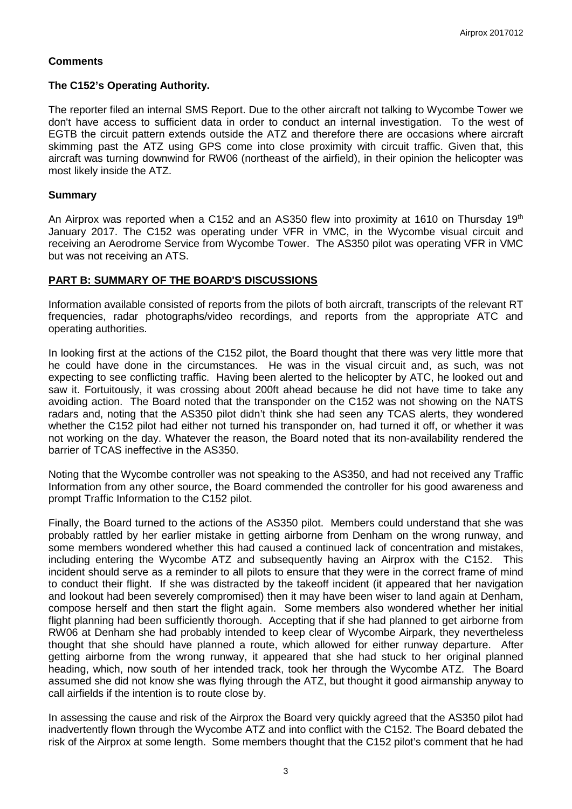## **Comments**

#### **The C152's Operating Authority.**

The reporter filed an internal SMS Report. Due to the other aircraft not talking to Wycombe Tower we don't have access to sufficient data in order to conduct an internal investigation. To the west of EGTB the circuit pattern extends outside the ATZ and therefore there are occasions where aircraft skimming past the ATZ using GPS come into close proximity with circuit traffic. Given that, this aircraft was turning downwind for RW06 (northeast of the airfield), in their opinion the helicopter was most likely inside the ATZ.

#### **Summary**

An Airprox was reported when a C152 and an AS350 flew into proximity at 1610 on Thursday 19<sup>th</sup> January 2017. The C152 was operating under VFR in VMC, in the Wycombe visual circuit and receiving an Aerodrome Service from Wycombe Tower. The AS350 pilot was operating VFR in VMC but was not receiving an ATS.

#### **PART B: SUMMARY OF THE BOARD'S DISCUSSIONS**

Information available consisted of reports from the pilots of both aircraft, transcripts of the relevant RT frequencies, radar photographs/video recordings, and reports from the appropriate ATC and operating authorities.

In looking first at the actions of the C152 pilot, the Board thought that there was very little more that he could have done in the circumstances. He was in the visual circuit and, as such, was not expecting to see conflicting traffic. Having been alerted to the helicopter by ATC, he looked out and saw it. Fortuitously, it was crossing about 200ft ahead because he did not have time to take any avoiding action. The Board noted that the transponder on the C152 was not showing on the NATS radars and, noting that the AS350 pilot didn't think she had seen any TCAS alerts, they wondered whether the C152 pilot had either not turned his transponder on, had turned it off, or whether it was not working on the day. Whatever the reason, the Board noted that its non-availability rendered the barrier of TCAS ineffective in the AS350.

Noting that the Wycombe controller was not speaking to the AS350, and had not received any Traffic Information from any other source, the Board commended the controller for his good awareness and prompt Traffic Information to the C152 pilot.

Finally, the Board turned to the actions of the AS350 pilot. Members could understand that she was probably rattled by her earlier mistake in getting airborne from Denham on the wrong runway, and some members wondered whether this had caused a continued lack of concentration and mistakes, including entering the Wycombe ATZ and subsequently having an Airprox with the C152. This incident should serve as a reminder to all pilots to ensure that they were in the correct frame of mind to conduct their flight. If she was distracted by the takeoff incident (it appeared that her navigation and lookout had been severely compromised) then it may have been wiser to land again at Denham, compose herself and then start the flight again. Some members also wondered whether her initial flight planning had been sufficiently thorough. Accepting that if she had planned to get airborne from RW06 at Denham she had probably intended to keep clear of Wycombe Airpark, they nevertheless thought that she should have planned a route, which allowed for either runway departure. After getting airborne from the wrong runway, it appeared that she had stuck to her original planned heading, which, now south of her intended track, took her through the Wycombe ATZ. The Board assumed she did not know she was flying through the ATZ, but thought it good airmanship anyway to call airfields if the intention is to route close by.

In assessing the cause and risk of the Airprox the Board very quickly agreed that the AS350 pilot had inadvertently flown through the Wycombe ATZ and into conflict with the C152. The Board debated the risk of the Airprox at some length. Some members thought that the C152 pilot's comment that he had